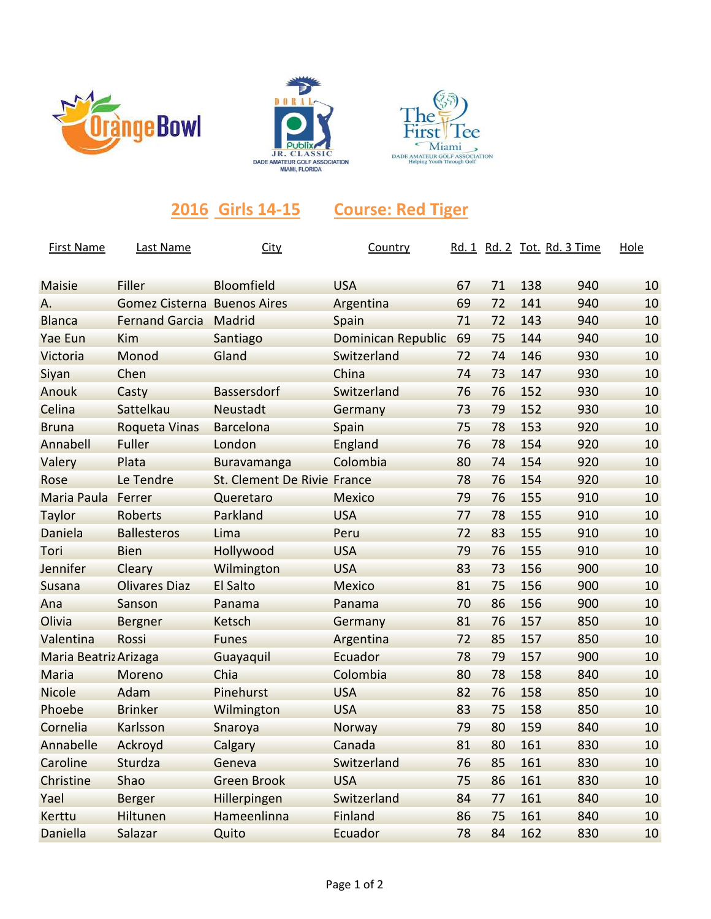





## **2016 Girls 14-15 Course: Red Tiger**

| <b>First Name</b>     | Last Name                          | City                        | Country                   |    |    |     | Rd. 1 Rd. 2 Tot. Rd. 3 Time | Hole |
|-----------------------|------------------------------------|-----------------------------|---------------------------|----|----|-----|-----------------------------|------|
| <b>Maisie</b>         | Filler                             | Bloomfield                  | <b>USA</b>                | 67 | 71 | 138 | 940                         | 10   |
| А.                    | <b>Gomez Cisterna Buenos Aires</b> |                             | Argentina                 | 69 | 72 | 141 | 940                         | 10   |
| <b>Blanca</b>         | <b>Fernand Garcia</b>              | Madrid                      | Spain                     | 71 | 72 | 143 | 940                         | 10   |
| Yae Eun               | <b>Kim</b>                         | Santiago                    | <b>Dominican Republic</b> | 69 | 75 | 144 | 940                         | 10   |
| Victoria              | Monod                              | Gland                       | Switzerland               | 72 | 74 | 146 | 930                         | 10   |
| Siyan                 | Chen                               |                             | China                     | 74 | 73 | 147 | 930                         | 10   |
| Anouk                 | Casty                              | <b>Bassersdorf</b>          | Switzerland               | 76 | 76 | 152 | 930                         | 10   |
| Celina                | Sattelkau                          | <b>Neustadt</b>             | Germany                   | 73 | 79 | 152 | 930                         | 10   |
| <b>Bruna</b>          | <b>Roqueta Vinas</b>               | <b>Barcelona</b>            | Spain                     | 75 | 78 | 153 | 920                         | 10   |
| Annabell              | Fuller                             | London                      | England                   | 76 | 78 | 154 | 920                         | 10   |
| Valery                | Plata                              | Buravamanga                 | Colombia                  | 80 | 74 | 154 | 920                         | 10   |
| Rose                  | Le Tendre                          | St. Clement De Rivie France |                           | 78 | 76 | 154 | 920                         | 10   |
| Maria Paula           | Ferrer                             | Queretaro                   | <b>Mexico</b>             | 79 | 76 | 155 | 910                         | 10   |
| Taylor                | <b>Roberts</b>                     | Parkland                    | <b>USA</b>                | 77 | 78 | 155 | 910                         | 10   |
| Daniela               | <b>Ballesteros</b>                 | Lima                        | Peru                      | 72 | 83 | 155 | 910                         | 10   |
| Tori                  | <b>Bien</b>                        | Hollywood                   | <b>USA</b>                | 79 | 76 | 155 | 910                         | 10   |
| Jennifer              | Cleary                             | Wilmington                  | <b>USA</b>                | 83 | 73 | 156 | 900                         | 10   |
| <b>Susana</b>         | <b>Olivares Diaz</b>               | <b>El Salto</b>             | <b>Mexico</b>             | 81 | 75 | 156 | 900                         | 10   |
| Ana                   | Sanson                             | Panama                      | Panama                    | 70 | 86 | 156 | 900                         | 10   |
| Olivia                | <b>Bergner</b>                     | Ketsch                      | Germany                   | 81 | 76 | 157 | 850                         | 10   |
| Valentina             | Rossi                              | <b>Funes</b>                | Argentina                 | 72 | 85 | 157 | 850                         | 10   |
| Maria Beatriz Arizaga |                                    | Guayaquil                   | Ecuador                   | 78 | 79 | 157 | 900                         | 10   |
| Maria                 | Moreno                             | Chia                        | Colombia                  | 80 | 78 | 158 | 840                         | 10   |
| Nicole                | Adam                               | Pinehurst                   | <b>USA</b>                | 82 | 76 | 158 | 850                         | 10   |
| Phoebe                | <b>Brinker</b>                     | Wilmington                  | <b>USA</b>                | 83 | 75 | 158 | 850                         | 10   |
| Cornelia              | Karlsson                           | Snaroya                     | Norway                    | 79 | 80 | 159 | 840                         | 10   |
| Annabelle             | Ackroyd                            | Calgary                     | Canada                    | 81 | 80 | 161 | 830                         | 10   |
| Caroline              | Sturdza                            | Geneva                      | Switzerland               | 76 | 85 | 161 | 830                         | 10   |
| Christine             | Shao                               | <b>Green Brook</b>          | <b>USA</b>                | 75 | 86 | 161 | 830                         | 10   |
| Yael                  | <b>Berger</b>                      | Hillerpingen                | Switzerland               | 84 | 77 | 161 | 840                         | 10   |
| Kerttu                | Hiltunen                           | Hameenlinna                 | Finland                   | 86 | 75 | 161 | 840                         | 10   |
| Daniella              | Salazar                            | Quito                       | Ecuador                   | 78 | 84 | 162 | 830                         | 10   |